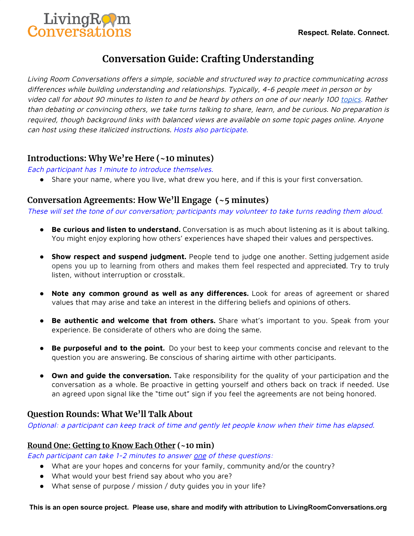

# **Conversation Guide: Crafting Understanding**

Living Room Conversations offers <sup>a</sup> simple, sociable and structured way to practice communicating across differences while building understanding and relationships. Typically, 4-6 people meet in person or by video call for about 90 minutes to listen to and be heard by others on one of our nearly 100 [topics](https://www.livingroomconversations.org/topics/). Rather than debating or convincing others, we take turns talking to share, learn, and be curious. No preparation is required, though background links with balanced views are available on some topic pages online. Anyone can host using these italicized instructions. Hosts also participate.

# **Introductions: Why We're Here (~10 minutes)**

Each participant has 1 minute to introduce themselves.

● Share your name, where you live, what drew you here, and if this is your first conversation.

# **Conversation Agreements: How We'll Engage (~5 minutes)**

These will set the tone of our conversation; participants may volunteer to take turns reading them aloud.

- **Be curious and listen to understand.** Conversation is as much about listening as it is about talking. You might enjoy exploring how others' experiences have shaped their values and perspectives.
- **Show respect and suspend judgment.** People tend to judge one another. Setting judgement aside opens you up to learning from others and makes them feel respected and appreciated. Try to truly listen, without interruption or crosstalk.
- **Note any common ground as well as any differences.** Look for areas of agreement or shared values that may arise and take an interest in the differing beliefs and opinions of others.
- **Be authentic and welcome that from others.** Share what's important to you. Speak from your experience. Be considerate of others who are doing the same.
- **Be purposeful and to the point.** Do your best to keep your comments concise and relevant to the question you are answering. Be conscious of sharing airtime with other participants.
- **Own and guide the conversation.** Take responsibility for the quality of your participation and the conversation as a whole. Be proactive in getting yourself and others back on track if needed. Use an agreed upon signal like the "time out" sign if you feel the agreements are not being honored.

# **Question Rounds: What We'll Talk About**

Optional: <sup>a</sup> participant can keep track of time and gently let people know when their time has elapsed.

#### **Round One: Getting to Know Each Other (~10 min)**

Each participant can take 1-2 minutes to answer one of these questions:

- What are your hopes and concerns for your family, community and/or the country?
- What would your best friend say about who you are?
- What sense of purpose / mission / duty guides you in your life?

**This is an open source project. Please use, share and modify with attribution to [LivingRoomConversations.org](http://www.livingroomconversations.org/)**